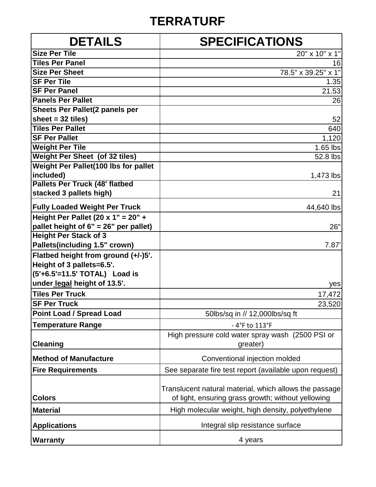## **TERRATURF**

| <b>DETAILS</b>                        | <b>SPECIFICATIONS</b>                                        |
|---------------------------------------|--------------------------------------------------------------|
| <b>Size Per Tile</b>                  | 20" x 10" x 1"                                               |
| <b>Tiles Per Panel</b>                | 16                                                           |
| <b>Size Per Sheet</b>                 | 78.5" x 39.25" x 1"                                          |
| <b>SF Per Tile</b>                    | 1.35                                                         |
| <b>SF Per Panel</b>                   | 21.53                                                        |
| <b>Panels Per Pallet</b>              | 26                                                           |
| Sheets Per Pallet(2 panels per        |                                                              |
| sheet = $32$ tiles)                   | 52                                                           |
| <b>Tiles Per Pallet</b>               | 640                                                          |
| <b>SF Per Pallet</b>                  | 1,120                                                        |
| <b>Weight Per Tile</b>                | $1.65$ lbs                                                   |
| <b>Weight Per Sheet (of 32 tiles)</b> | 52.8 lbs                                                     |
| Weight Per Pallet(100 lbs for pallet  |                                                              |
| included)                             | 1,473 lbs                                                    |
| <b>Pallets Per Truck (48' flatbed</b> |                                                              |
| stacked 3 pallets high)               | 21                                                           |
| <b>Fully Loaded Weight Per Truck</b>  | 44,640 lbs                                                   |
| Height Per Pallet (20 x 1" = $20" +$  |                                                              |
| pallet height of 6" = 26" per pallet) | 26"                                                          |
| <b>Height Per Stack of 3</b>          |                                                              |
| Pallets(including 1.5" crown)         | 7.87'                                                        |
| Flatbed height from ground (+/-)5'.   |                                                              |
| Height of 3 pallets=6.5'.             |                                                              |
| (5'+6.5'=11.5' TOTAL) Load is         |                                                              |
| under legal height of 13.5'.          | yes                                                          |
| <b>Tiles Per Truck</b>                | 17,472                                                       |
| <b>SF Per Truck</b>                   | 23,520                                                       |
| <b>Point Load / Spread Load</b>       | 50lbs/sq in // 12,000lbs/sq ft                               |
| <b>Temperature Range</b>              | - 4°F to 113°F                                               |
| <b>Cleaning</b>                       | High pressure cold water spray wash (2500 PSI or<br>greater) |
| <b>Method of Manufacture</b>          | Conventional injection molded                                |
|                                       |                                                              |
| <b>Fire Requirements</b>              | See separate fire test report (available upon request)       |
|                                       | Translucent natural material, which allows the passage       |
| <b>Colors</b>                         | of light, ensuring grass growth; without yellowing           |
| <b>Material</b>                       | High molecular weight, high density, polyethylene            |
| <b>Applications</b>                   | Integral slip resistance surface                             |
| <b>Warranty</b>                       | 4 years                                                      |